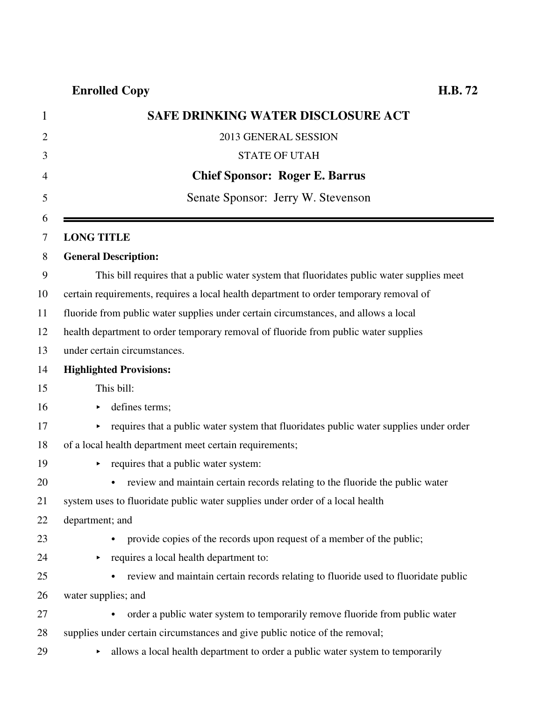# **Enrolled Copy H.B. 72**

| $\mathbf{1}$   | <b>SAFE DRINKING WATER DISCLOSURE ACT</b>                                                  |
|----------------|--------------------------------------------------------------------------------------------|
| $\overline{2}$ | 2013 GENERAL SESSION                                                                       |
| 3              | <b>STATE OF UTAH</b>                                                                       |
| 4              | <b>Chief Sponsor: Roger E. Barrus</b>                                                      |
| 5              | Senate Sponsor: Jerry W. Stevenson                                                         |
| 6              |                                                                                            |
| 7              | <b>LONG TITLE</b>                                                                          |
| 8              | <b>General Description:</b>                                                                |
| 9              | This bill requires that a public water system that fluoridates public water supplies meet  |
| 10             | certain requirements, requires a local health department to order temporary removal of     |
| 11             | fluoride from public water supplies under certain circumstances, and allows a local        |
| 12             | health department to order temporary removal of fluoride from public water supplies        |
| 13             | under certain circumstances.                                                               |
| 14             | <b>Highlighted Provisions:</b>                                                             |
| 15             | This bill:                                                                                 |
| 16             | defines terms;                                                                             |
| 17             | requires that a public water system that fluoridates public water supplies under order     |
| 18             | of a local health department meet certain requirements;                                    |
| 19             | requires that a public water system:                                                       |
| 20             | review and maintain certain records relating to the fluoride the public water<br>$\bullet$ |
| 21             | system uses to fluoridate public water supplies under order of a local health              |
| 22             | department; and                                                                            |
| 23             | provide copies of the records upon request of a member of the public;                      |
| 24             | requires a local health department to:<br>▶                                                |
| 25             | review and maintain certain records relating to fluoride used to fluoridate public         |
| 26             | water supplies; and                                                                        |
| 27             | order a public water system to temporarily remove fluoride from public water<br>$\bullet$  |
| 28             | supplies under certain circumstances and give public notice of the removal;                |
| 29             | allows a local health department to order a public water system to temporarily<br>▶        |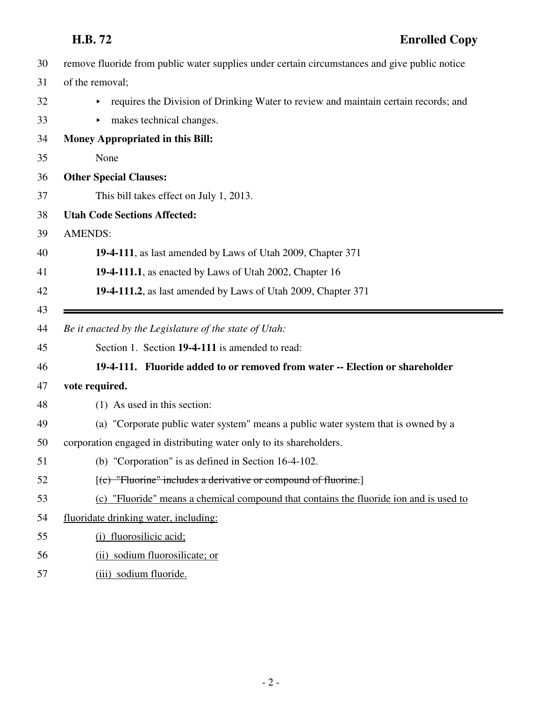- 30 remove fluoride from public water supplies under certain circumstances and give public notice
- 31 of the removal;
- 32 requires the Division of Drinking Water to review and maintain certain records; and
- 33 makes technical changes.

| 34 | <b>Money Appropriated in this Bill:</b>                                                |
|----|----------------------------------------------------------------------------------------|
| 35 | None                                                                                   |
| 36 | <b>Other Special Clauses:</b>                                                          |
| 37 | This bill takes effect on July 1, 2013.                                                |
| 38 | <b>Utah Code Sections Affected:</b>                                                    |
| 39 | <b>AMENDS:</b>                                                                         |
| 40 | 19-4-111, as last amended by Laws of Utah 2009, Chapter 371                            |
| 41 | 19-4-111.1, as enacted by Laws of Utah 2002, Chapter 16                                |
| 42 | 19-4-111.2, as last amended by Laws of Utah 2009, Chapter 371                          |
| 43 |                                                                                        |
| 44 | Be it enacted by the Legislature of the state of Utah:                                 |
| 45 | Section 1. Section 19-4-111 is amended to read:                                        |
| 46 | 19-4-111. Fluoride added to or removed from water -- Election or shareholder           |
| 47 | vote required.                                                                         |
| 48 | (1) As used in this section:                                                           |
| 49 | (a) "Corporate public water system" means a public water system that is owned by a     |
| 50 | corporation engaged in distributing water only to its shareholders.                    |
| 51 | (b) "Corporation" is as defined in Section 16-4-102.                                   |
| 52 | $[$ (c) "Fluorine" includes a derivative or compound of fluorine.]                     |
| 53 | (c) "Fluoride" means a chemical compound that contains the fluoride ion and is used to |
| 54 | fluoridate drinking water, including:                                                  |
| 55 | (i) fluorosilicic acid;                                                                |
| 56 | (ii) sodium fluorosilicate; or                                                         |
| 57 |                                                                                        |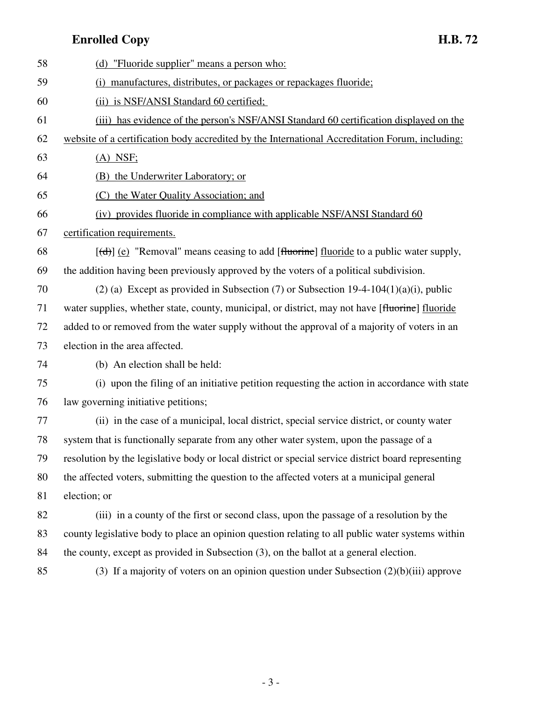## **Enrolled Copy H.B. 72**

| 58 | (d) "Fluoride supplier" means a person who:                                                         |
|----|-----------------------------------------------------------------------------------------------------|
| 59 | (i) manufactures, distributes, or packages or repackages fluoride;                                  |
| 60 | (ii) is NSF/ANSI Standard 60 certified;                                                             |
| 61 | (iii) has evidence of the person's NSF/ANSI Standard 60 certification displayed on the              |
| 62 | website of a certification body accredited by the International Accreditation Forum, including:     |
| 63 | $(A)$ NSF;                                                                                          |
| 64 | (B) the Underwriter Laboratory; or                                                                  |
| 65 | (C) the Water Quality Association; and                                                              |
| 66 | (iv) provides fluoride in compliance with applicable NSF/ANSI Standard 60                           |
| 67 | certification requirements.                                                                         |
| 68 | $[\text{td}]$ (e) "Removal" means ceasing to add [fluorine] fluoride to a public water supply,      |
| 69 | the addition having been previously approved by the voters of a political subdivision.              |
| 70 | (2) (a) Except as provided in Subsection (7) or Subsection $19-4-104(1)(a)(i)$ , public             |
| 71 | water supplies, whether state, county, municipal, or district, may not have [fluorine] fluoride     |
| 72 | added to or removed from the water supply without the approval of a majority of voters in an        |
| 73 | election in the area affected.                                                                      |
| 74 | (b) An election shall be held:                                                                      |
| 75 | (i) upon the filing of an initiative petition requesting the action in accordance with state        |
| 76 | law governing initiative petitions;                                                                 |
| 77 | (ii) in the case of a municipal, local district, special service district, or county water          |
| 78 | system that is functionally separate from any other water system, upon the passage of a             |
| 79 | resolution by the legislative body or local district or special service district board representing |
| 80 | the affected voters, submitting the question to the affected voters at a municipal general          |
| 81 | election; or                                                                                        |
| 82 | (iii) in a county of the first or second class, upon the passage of a resolution by the             |
| 83 | county legislative body to place an opinion question relating to all public water systems within    |
| 84 | the county, except as provided in Subsection (3), on the ballot at a general election.              |
| 85 | (3) If a majority of voters on an opinion question under Subsection $(2)(b)(iii)$ approve           |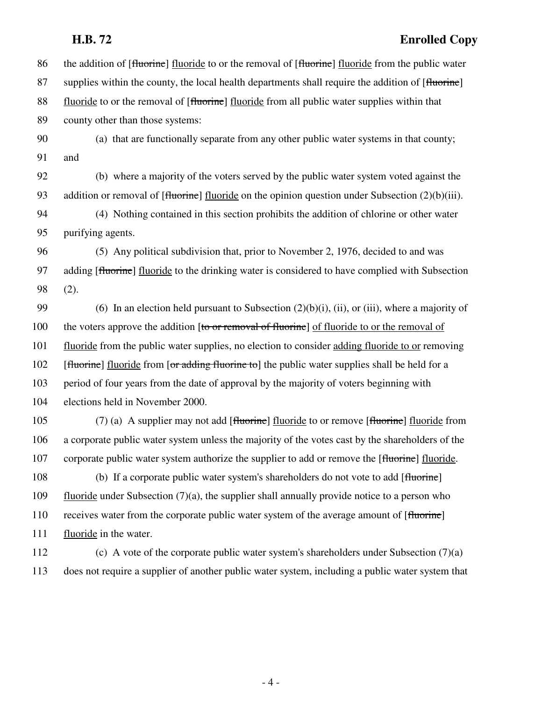### **H.B. 72 Enrolled Copy**

86 the addition of [fluorine] fluoride to or the removal of [fluorine] fluoride from the public water 87 supplies within the county, the local health departments shall require the addition of [fluorine] 88 fluoride to or the removal of [fluorine] fluoride from all public water supplies within that 89 county other than those systems: 90 (a) that are functionally separate from any other public water systems in that county; 91 and 92 (b) where a majority of the voters served by the public water system voted against the 93 addition or removal of [fluorine] fluoride on the opinion question under Subsection (2)(b)(iii). 94 (4) Nothing contained in this section prohibits the addition of chlorine or other water 95 purifying agents. 96 (5) Any political subdivision that, prior to November 2, 1976, decided to and was 97 adding [fluorine] fluoride to the drinking water is considered to have complied with Subsection 98 (2). 99 (6) In an election held pursuant to Subsection  $(2)(b)(i)$ , (ii), or (iii), where a majority of 100 the voters approve the addition [to or removal of fluorine] of fluoride to or the removal of 101 fluoride from the public water supplies, no election to consider adding fluoride to or removing 102 [fluorine] fluoride from [or adding fluorine to] the public water supplies shall be held for a 103 period of four years from the date of approval by the majority of voters beginning with 104 elections held in November 2000. 105 (7) (a) A supplier may not add [fluorine] fluoride to or remove [fluorine] fluoride from 106 a corporate public water system unless the majority of the votes cast by the shareholders of the 107 corporate public water system authorize the supplier to add or remove the [fluorine] fluoride. 108 (b) If a corporate public water system's shareholders do not vote to add [fluorine] 109 fluoride under Subsection (7)(a), the supplier shall annually provide notice to a person who 110 receives water from the corporate public water system of the average amount of [fluorine] 111 fluoride in the water.

112 (c) A vote of the corporate public water system's shareholders under Subsection (7)(a) 113 does not require a supplier of another public water system, including a public water system that

- 4 -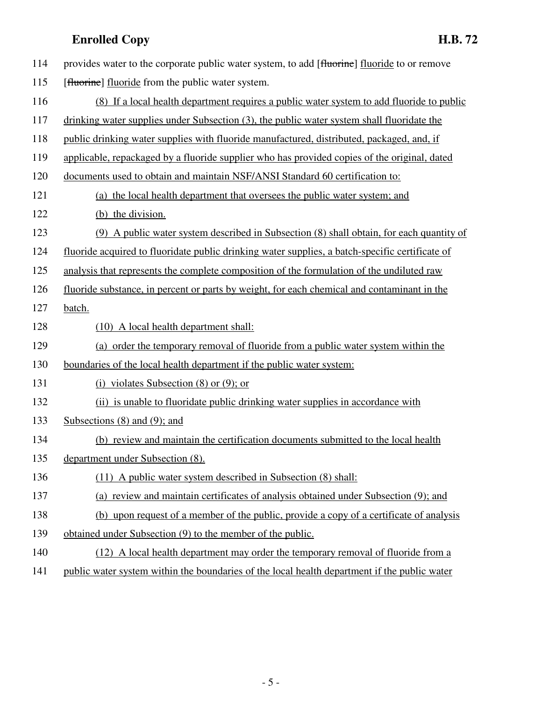|     | <b>Enrolled Copy</b><br>H.B. 72                                                                 |
|-----|-------------------------------------------------------------------------------------------------|
| 114 | provides water to the corporate public water system, to add [fluorine] fluoride to or remove    |
| 115 | [fluorine] fluoride from the public water system.                                               |
| 116 | (8) If a local health department requires a public water system to add fluoride to public       |
| 117 | drinking water supplies under Subsection (3), the public water system shall fluoridate the      |
| 118 | public drinking water supplies with fluoride manufactured, distributed, packaged, and, if       |
| 119 | applicable, repackaged by a fluoride supplier who has provided copies of the original, dated    |
| 120 | documents used to obtain and maintain NSF/ANSI Standard 60 certification to:                    |
| 121 | (a) the local health department that oversees the public water system; and                      |
| 122 | (b) the division.                                                                               |
| 123 | (9) A public water system described in Subsection (8) shall obtain, for each quantity of        |
| 124 | fluoride acquired to fluoridate public drinking water supplies, a batch-specific certificate of |
| 125 | analysis that represents the complete composition of the formulation of the undiluted raw       |
| 126 | fluoride substance, in percent or parts by weight, for each chemical and contaminant in the     |
| 127 | batch.                                                                                          |
| 128 | (10) A local health department shall:                                                           |
| 129 | (a) order the temporary removal of fluoride from a public water system within the               |
| 130 | boundaries of the local health department if the public water system:                           |
| 131 | (i) violates Subsection $(8)$ or $(9)$ ; or                                                     |
| 132 | (ii) is unable to fluoridate public drinking water supplies in accordance with                  |
| 133 | Subsections $(8)$ and $(9)$ ; and                                                               |
| 134 | (b) review and maintain the certification documents submitted to the local health               |
| 135 | department under Subsection (8).                                                                |
| 136 | (11) A public water system described in Subsection (8) shall:                                   |
| 137 | (a) review and maintain certificates of analysis obtained under Subsection (9); and             |
| 138 | (b) upon request of a member of the public, provide a copy of a certificate of analysis         |
| 139 | obtained under Subsection (9) to the member of the public.                                      |
| 140 | (12) A local health department may order the temporary removal of fluoride from a               |
| 141 | public water system within the boundaries of the local health department if the public water    |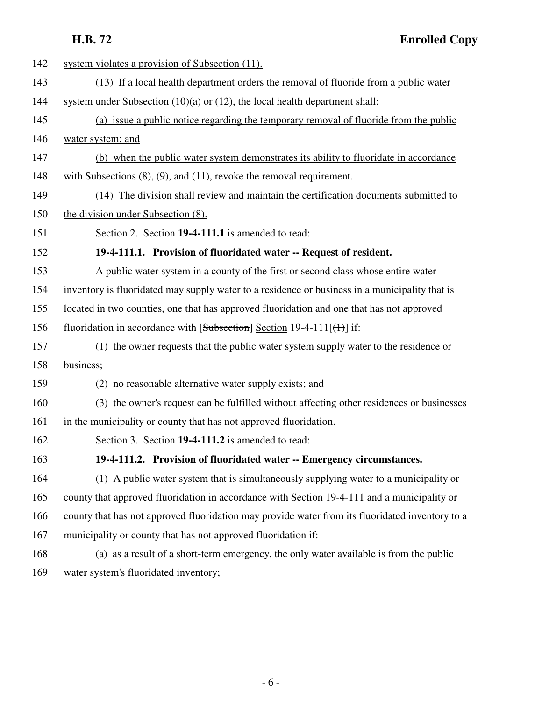| 142 | system violates a provision of Subsection (11).                                                 |
|-----|-------------------------------------------------------------------------------------------------|
| 143 | (13) If a local health department orders the removal of fluoride from a public water            |
| 144 | system under Subsection $(10)(a)$ or $(12)$ , the local health department shall:                |
| 145 | (a) issue a public notice regarding the temporary removal of fluoride from the public           |
| 146 | water system; and                                                                               |
| 147 | (b) when the public water system demonstrates its ability to fluoridate in accordance           |
| 148 | with Subsections $(8)$ , $(9)$ , and $(11)$ , revoke the removal requirement.                   |
| 149 | (14) The division shall review and maintain the certification documents submitted to            |
| 150 | the division under Subsection (8).                                                              |
| 151 | Section 2. Section 19-4-111.1 is amended to read:                                               |
| 152 | 19-4-111.1. Provision of fluoridated water -- Request of resident.                              |
| 153 | A public water system in a county of the first or second class whose entire water               |
| 154 | inventory is fluoridated may supply water to a residence or business in a municipality that is  |
| 155 | located in two counties, one that has approved fluoridation and one that has not approved       |
| 156 | fluoridation in accordance with $[Subsection]$ Section 19-4-111 $[()$ if:                       |
| 157 | (1) the owner requests that the public water system supply water to the residence or            |
| 158 | business;                                                                                       |
| 159 | (2) no reasonable alternative water supply exists; and                                          |
| 160 | (3) the owner's request can be fulfilled without affecting other residences or businesses       |
| 161 | in the municipality or county that has not approved fluoridation.                               |
| 162 | Section 3. Section 19-4-111.2 is amended to read:                                               |
| 163 | 19-4-111.2. Provision of fluoridated water -- Emergency circumstances.                          |
| 164 | (1) A public water system that is simultaneously supplying water to a municipality or           |
| 165 | county that approved fluoridation in accordance with Section 19-4-111 and a municipality or     |
| 166 | county that has not approved fluoridation may provide water from its fluoridated inventory to a |
| 167 | municipality or county that has not approved fluoridation if:                                   |
| 168 | (a) as a result of a short-term emergency, the only water available is from the public          |
| 169 | water system's fluoridated inventory;                                                           |